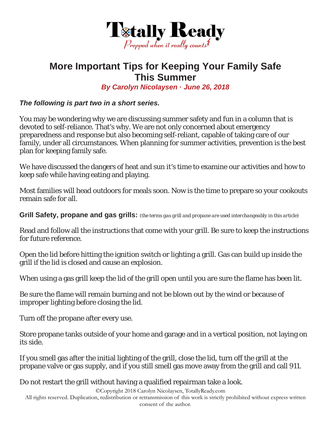

## **More Important Tips for Keeping Your Family Safe This Summer**

*By Carolyn Nicolaysen · June 26, 2018* 

*The following is part two in a short series.* 

You may be wondering why we are discussing summer safety and fun in a column that is devoted to self-reliance. That's why. We are not only concerned about emergency preparedness and response but also becoming self-reliant, capable of taking care of our family, under all circumstances. When planning for summer activities, prevention is the best plan for keeping family safe.

We have discussed the dangers of heat and sun it's time to examine our activities and how to keep safe while having eating and playing.

Most families will head outdoors for meals soon. Now is the time to prepare so your cookouts remain safe for all.

**Grill Safety, propane and gas grills:** *(the terms gas grill and propane are used interchangeably in this article)* 

Read and follow all the instructions that come with your grill. Be sure to keep the instructions for future reference.

Open the lid before hitting the ignition switch or lighting a grill. Gas can build up inside the grill if the lid is closed and cause an explosion.

When using a gas grill keep the lid of the grill open until you are sure the flame has been lit.

Be sure the flame will remain burning and not be blown out by the wind or because of improper lighting before closing the lid.

Turn off the propane after every use.

Store propane tanks outside of your home and garage and in a vertical position, not laying on its side.

If you smell gas after the initial lighting of the grill, close the lid, turn off the grill at the propane valve or gas supply, and if you still smell gas move away from the grill and call 911.

Do not restart the grill without having a qualified repairman take a look.

©Copyright 2018 Carolyn Nicolaysen, TotallyReady.com

All rights reserved. Duplication, redistribution or retransmission of this work is strictly prohibited without express written consent of the author.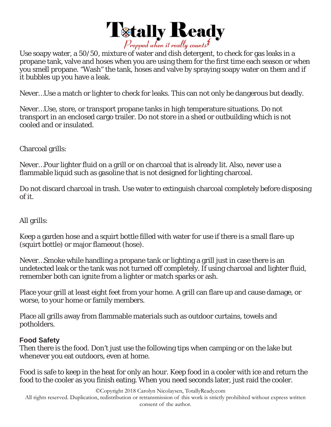

Use soapy water, a 50/50, mixture of water and dish detergent, to check for gas leaks in a propane tank, valve and hoses when you are using them for the first time each season or when you smell propane. "Wash" the tank, hoses and valve by spraying soapy water on them and if it bubbles up you have a leak.

Never…Use a match or lighter to check for leaks. This can not only be dangerous but deadly.

Never…Use, store, or transport propane tanks in high temperature situations. Do not transport in an enclosed cargo trailer. Do not store in a shed or outbuilding which is not cooled and or insulated.

Charcoal grills:

Never…Pour lighter fluid on a grill or on charcoal that is already lit. Also, never use a flammable liquid such as gasoline that is not designed for lighting charcoal.

Do not discard charcoal in trash. Use water to extinguish charcoal completely before disposing of it.

All grills:

Keep a garden hose and a squirt bottle filled with water for use if there is a small flare-up (squirt bottle) or major flameout (hose).

Never…Smoke while handling a propane tank or lighting a grill just in case there is an undetected leak or the tank was not turned off completely. If using charcoal and lighter fluid, remember both can ignite from a lighter or match sparks or ash.

Place your grill at least eight feet from your home. A grill can flare up and cause damage, or worse, to your home or family members.

Place all grills away from flammable materials such as outdoor curtains, towels and potholders.

## **Food Safety**

Then there is the food. Don't just use the following tips when camping or on the lake but whenever you eat outdoors, even at home.

Food is safe to keep in the heat for only an hour. Keep food in a cooler with ice and return the food to the cooler as you finish eating. When you need seconds later, just raid the cooler.

©Copyright 2018 Carolyn Nicolaysen, TotallyReady.com

All rights reserved. Duplication, redistribution or retransmission of this work is strictly prohibited without express written consent of the author.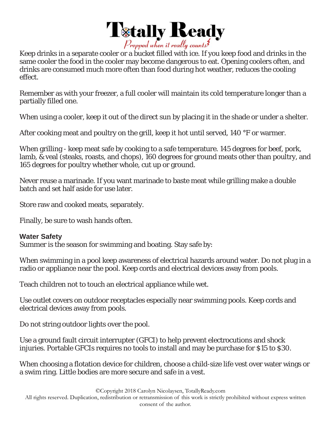

Keep drinks in a separate cooler or a bucket filled with ice. If you keep food and drinks in the same cooler the food in the cooler may become dangerous to eat. Opening coolers often, and drinks are consumed much more often than food during hot weather, reduces the cooling effect.

Remember as with your freezer, a full cooler will maintain its cold temperature longer than a partially filled one.

When using a cooler, keep it out of the direct sun by placing it in the shade or under a shelter.

After cooking meat and poultry on the grill, keep it hot until served, 140 °F or warmer.

When grilling - keep meat safe by cooking to a safe temperature. 145 degrees for beef, pork, lamb, & veal (steaks, roasts, and chops), 160 degrees for ground meats other than poultry, and 165 degrees for poultry whether whole, cut up or ground.

Never reuse a marinade. If you want marinade to baste meat while grilling make a double batch and set half aside for use later.

Store raw and cooked meats, separately.

Finally, be sure to wash hands often.

## **Water Safety**

Summer is the season for swimming and boating. Stay safe by:

When swimming in a pool keep awareness of electrical hazards around water. Do not plug in a radio or appliance near the pool. Keep cords and electrical devices away from pools.

Teach children not to touch an electrical appliance while wet.

Use outlet covers on outdoor receptacles especially near swimming pools. Keep cords and electrical devices away from pools.

Do not string outdoor lights over the pool.

Use a ground fault circuit interrupter (GFCI) to help prevent electrocutions and shock injuries. Portable GFCIs requires no tools to install and may be purchase for \$15 to \$30.

When choosing a flotation device for children, choose a child-size life vest over water wings or a swim ring. Little bodies are more secure and safe in a vest.

©Copyright 2018 Carolyn Nicolaysen, TotallyReady.com

All rights reserved. Duplication, redistribution or retransmission of this work is strictly prohibited without express written consent of the author.